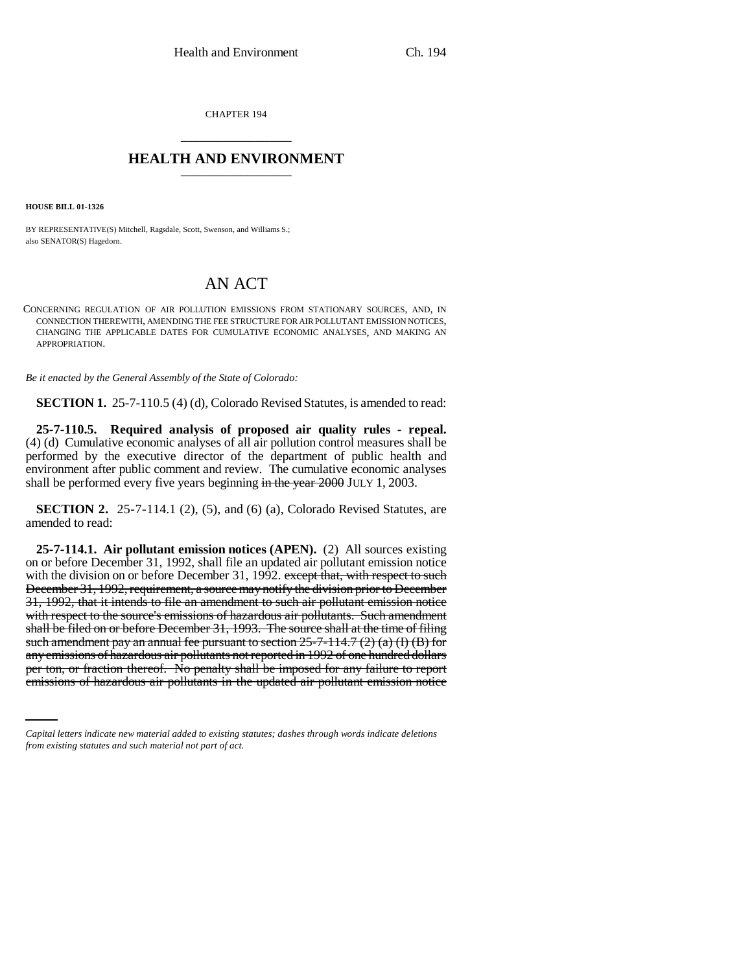CHAPTER 194 \_\_\_\_\_\_\_\_\_\_\_\_\_\_\_

## **HEALTH AND ENVIRONMENT** \_\_\_\_\_\_\_\_\_\_\_\_\_\_\_

**HOUSE BILL 01-1326**

BY REPRESENTATIVE(S) Mitchell, Ragsdale, Scott, Swenson, and Williams S.; also SENATOR(S) Hagedorn.

# AN ACT

CONCERNING REGULATION OF AIR POLLUTION EMISSIONS FROM STATIONARY SOURCES, AND, IN CONNECTION THEREWITH, AMENDING THE FEE STRUCTURE FOR AIR POLLUTANT EMISSION NOTICES, CHANGING THE APPLICABLE DATES FOR CUMULATIVE ECONOMIC ANALYSES, AND MAKING AN APPROPRIATION.

*Be it enacted by the General Assembly of the State of Colorado:*

**SECTION 1.** 25-7-110.5 (4) (d), Colorado Revised Statutes, is amended to read:

**25-7-110.5. Required analysis of proposed air quality rules - repeal.** (4) (d) Cumulative economic analyses of all air pollution control measures shall be performed by the executive director of the department of public health and environment after public comment and review. The cumulative economic analyses shall be performed every five years beginning in the year  $2000$  JULY 1, 2003.

**SECTION 2.** 25-7-114.1 (2), (5), and (6) (a), Colorado Revised Statutes, are amended to read:

any emissions of hazardous air pollutants not reported in 1992 of one hundred dollars **25-7-114.1. Air pollutant emission notices (APEN).** (2) All sources existing on or before December 31, 1992, shall file an updated air pollutant emission notice with the division on or before December 31, 1992. except that, with respect to such December 31, 1992, requirement, a source may notify the division prior to December 31, 1992, that it intends to file an amendment to such air pollutant emission notice with respect to the source's emissions of hazardous air pollutants. Such amendment shall be filed on or before December 31, 1993. The source shall at the time of filing such amendment pay an annual fee pursuant to section  $25-7-114.7$  (2) (a) (I) (B) for per ton, or fraction thereof. No penalty shall be imposed for any failure to report emissions of hazardous air pollutants in the updated air pollutant emission notice

*Capital letters indicate new material added to existing statutes; dashes through words indicate deletions from existing statutes and such material not part of act.*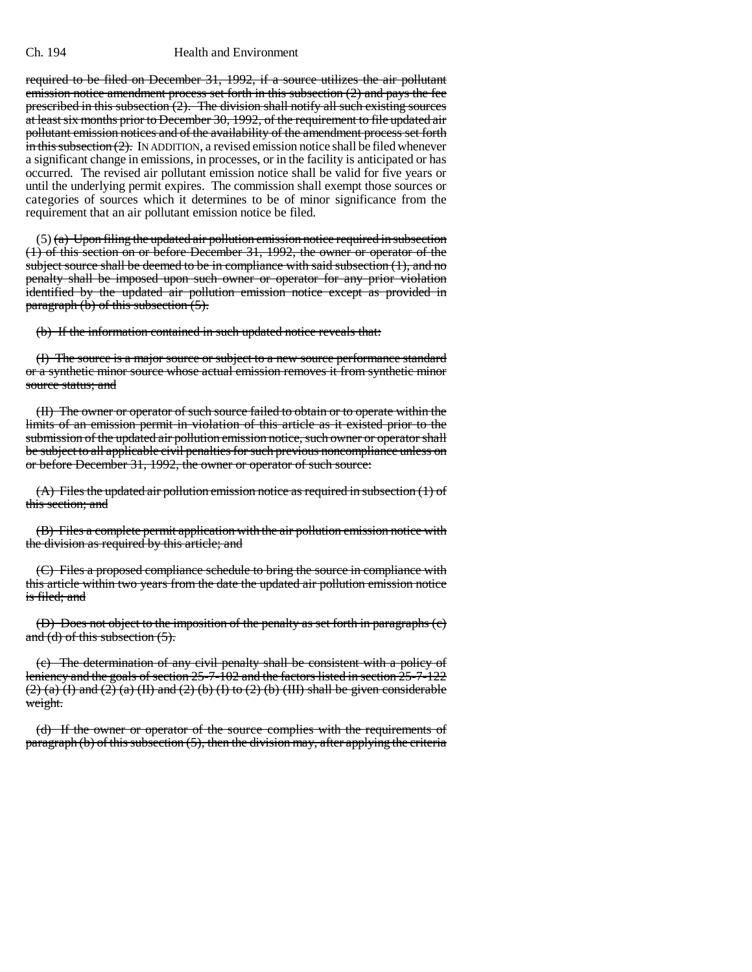#### Ch. 194 Health and Environment

required to be filed on December 31, 1992, if a source utilizes the air pollutant emission notice amendment process set forth in this subsection  $(2)$  and pays the fee prescribed in this subsection  $(2)$ . The division shall notify all such existing sources at least six months prior to December 30, 1992, of the requirement to file updated air pollutant emission notices and of the availability of the amendment process set forth  $\overline{\mathbf{in}}$  this subsection (2). In ADDITION, a revised emission notice shall be filed whenever a significant change in emissions, in processes, or in the facility is anticipated or has occurred. The revised air pollutant emission notice shall be valid for five years or until the underlying permit expires. The commission shall exempt those sources or categories of sources which it determines to be of minor significance from the requirement that an air pollutant emission notice be filed.

 $(5)$  (a) Upon filing the updated air pollution emission notice required in subsection (1) of this section on or before December 31, 1992, the owner or operator of the subject source shall be deemed to be in compliance with said subsection (1), and no penalty shall be imposed upon such owner or operator for any prior violation identified by the updated air pollution emission notice except as provided in paragraph  $(b)$  of this subsection  $(5)$ .

(b) If the information contained in such updated notice reveals that:

(I) The source is a major source or subject to a new source performance standard or a synthetic minor source whose actual emission removes it from synthetic minor source status; and

(II) The owner or operator of such source failed to obtain or to operate within the limits of an emission permit in violation of this article as it existed prior to the submission of the updated air pollution emission notice, such owner or operator shall be subject to all applicable civil penalties for such previous noncompliance unless on or before December 31, 1992, the owner or operator of such source:

(A) Files the updated air pollution emission notice as required in subsection (1) of this section; and

(B) Files a complete permit application with the air pollution emission notice with the division as required by this article; and

(C) Files a proposed compliance schedule to bring the source in compliance with this article within two years from the date the updated air pollution emission notice is filed; and

(D) Does not object to the imposition of the penalty as set forth in paragraphs (c) and  $(d)$  of this subsection  $(5)$ .

(c) The determination of any civil penalty shall be consistent with a policy of leniency and the goals of section 25-7-102 and the factors listed in section 25-7-122  $(2)$  (a) (I) and (2) (a) (II) and (2) (b) (I) to (2) (b) (III) shall be given considerable weight.

(d) If the owner or operator of the source complies with the requirements of  $paragnh (b) of this subsection (5), then the division may, after applying the criteria$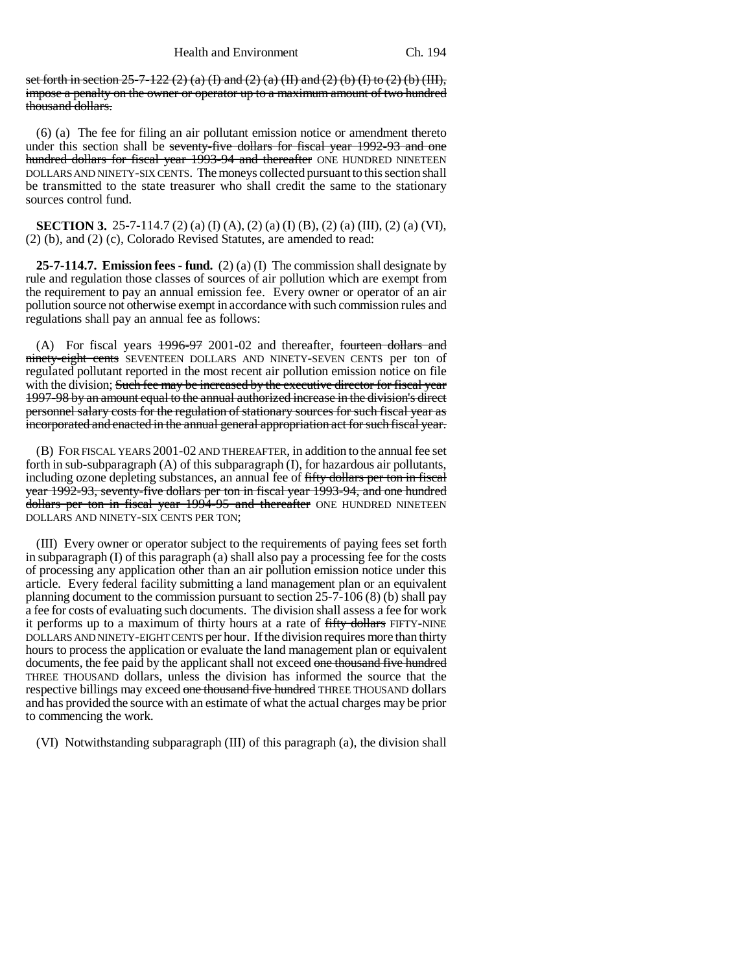set forth in section  $25-7-122(2)$  (a) (I) and (2) (a) (II) and (2) (b) (I) to (2) (b) (III), impose a penalty on the owner or operator up to a maximum amount of two hundred thousand dollars.

(6) (a) The fee for filing an air pollutant emission notice or amendment thereto under this section shall be seventy-five dollars for fiscal year 1992-93 and one hundred dollars for fiscal year 1993-94 and thereafter ONE HUNDRED NINETEEN DOLLARS AND NINETY-SIX CENTS. The moneys collected pursuant to this section shall be transmitted to the state treasurer who shall credit the same to the stationary sources control fund.

**SECTION 3.** 25-7-114.7 (2) (a) (I) (A), (2) (a) (I) (B), (2) (a) (III), (2) (a) (VI), (2) (b), and (2) (c), Colorado Revised Statutes, are amended to read:

**25-7-114.7. Emission fees - fund.** (2) (a) (I) The commission shall designate by rule and regulation those classes of sources of air pollution which are exempt from the requirement to pay an annual emission fee. Every owner or operator of an air pollution source not otherwise exempt in accordance with such commission rules and regulations shall pay an annual fee as follows:

(A) For fiscal years  $1996-972001-02$  and thereafter, fourteen dollars and ninety-eight cents SEVENTEEN DOLLARS AND NINETY-SEVEN CENTS per ton of regulated pollutant reported in the most recent air pollution emission notice on file with the division; Such fee may be increased by the executive director for fiscal year 1997-98 by an amount equal to the annual authorized increase in the division's direct personnel salary costs for the regulation of stationary sources for such fiscal year as incorporated and enacted in the annual general appropriation act for such fiscal year.

(B) FOR FISCAL YEARS 2001-02 AND THEREAFTER, in addition to the annual fee set forth in sub-subparagraph (A) of this subparagraph (I), for hazardous air pollutants, including ozone depleting substances, an annual fee of fifty dollars per ton in fiscal year 1992-93, seventy-five dollars per ton in fiscal year 1993-94, and one hundred dollars per ton in fiscal year 1994-95 and thereafter ONE HUNDRED NINETEEN DOLLARS AND NINETY-SIX CENTS PER TON;

(III) Every owner or operator subject to the requirements of paying fees set forth in subparagraph (I) of this paragraph (a) shall also pay a processing fee for the costs of processing any application other than an air pollution emission notice under this article. Every federal facility submitting a land management plan or an equivalent planning document to the commission pursuant to section 25-7-106 (8) (b) shall pay a fee for costs of evaluating such documents. The division shall assess a fee for work it performs up to a maximum of thirty hours at a rate of fifty dollars FIFTY-NINE DOLLARS AND NINETY-EIGHT CENTS per hour. If the division requires more than thirty hours to process the application or evaluate the land management plan or equivalent documents, the fee paid by the applicant shall not exceed one thousand five hundred THREE THOUSAND dollars, unless the division has informed the source that the respective billings may exceed one thousand five hundred THREE THOUSAND dollars and has provided the source with an estimate of what the actual charges may be prior to commencing the work.

(VI) Notwithstanding subparagraph (III) of this paragraph (a), the division shall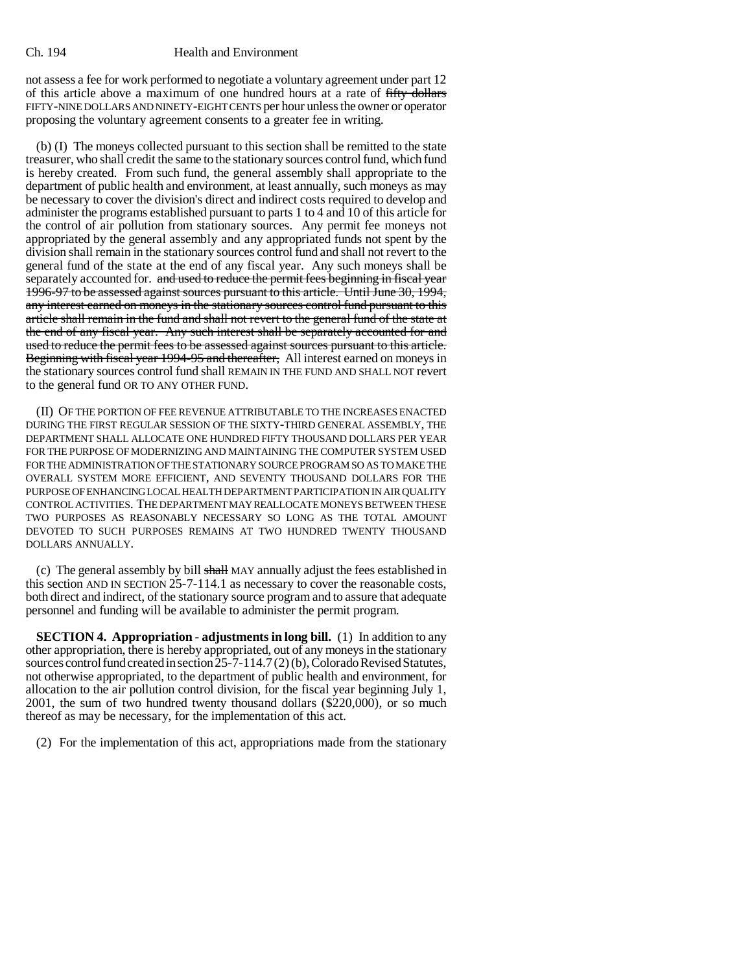#### Ch. 194 Health and Environment

not assess a fee for work performed to negotiate a voluntary agreement under part 12 of this article above a maximum of one hundred hours at a rate of fifty dollars FIFTY-NINE DOLLARS AND NINETY-EIGHT CENTS per hour unless the owner or operator proposing the voluntary agreement consents to a greater fee in writing.

(b) (I) The moneys collected pursuant to this section shall be remitted to the state treasurer, who shall credit the same to the stationary sources control fund, which fund is hereby created. From such fund, the general assembly shall appropriate to the department of public health and environment, at least annually, such moneys as may be necessary to cover the division's direct and indirect costs required to develop and administer the programs established pursuant to parts 1 to 4 and 10 of this article for the control of air pollution from stationary sources. Any permit fee moneys not appropriated by the general assembly and any appropriated funds not spent by the division shall remain in the stationary sources control fund and shall not revert to the general fund of the state at the end of any fiscal year. Any such moneys shall be separately accounted for. and used to reduce the permit fees beginning in fiscal year 1996-97 to be assessed against sources pursuant to this article. Until June 30, 1994, any interest earned on moneys in the stationary sources control fund pursuant to this article shall remain in the fund and shall not revert to the general fund of the state at the end of any fiscal year. Any such interest shall be separately accounted for and used to reduce the permit fees to be assessed against sources pursuant to this article. Beginning with fiscal year 1994-95 and thereafter, All interest earned on moneys in the stationary sources control fund shall REMAIN IN THE FUND AND SHALL NOT revert to the general fund OR TO ANY OTHER FUND.

(II) OF THE PORTION OF FEE REVENUE ATTRIBUTABLE TO THE INCREASES ENACTED DURING THE FIRST REGULAR SESSION OF THE SIXTY-THIRD GENERAL ASSEMBLY, THE DEPARTMENT SHALL ALLOCATE ONE HUNDRED FIFTY THOUSAND DOLLARS PER YEAR FOR THE PURPOSE OF MODERNIZING AND MAINTAINING THE COMPUTER SYSTEM USED FOR THE ADMINISTRATION OF THE STATIONARY SOURCE PROGRAM SO AS TO MAKE THE OVERALL SYSTEM MORE EFFICIENT, AND SEVENTY THOUSAND DOLLARS FOR THE PURPOSE OF ENHANCING LOCAL HEALTH DEPARTMENT PARTICIPATION IN AIR QUALITY CONTROL ACTIVITIES. THE DEPARTMENT MAY REALLOCATE MONEYS BETWEEN THESE TWO PURPOSES AS REASONABLY NECESSARY SO LONG AS THE TOTAL AMOUNT DEVOTED TO SUCH PURPOSES REMAINS AT TWO HUNDRED TWENTY THOUSAND DOLLARS ANNUALLY.

(c) The general assembly by bill shall MAY annually adjust the fees established in this section AND IN SECTION 25-7-114.1 as necessary to cover the reasonable costs, both direct and indirect, of the stationary source program and to assure that adequate personnel and funding will be available to administer the permit program.

**SECTION 4. Appropriation - adjustments in long bill.** (1) In addition to any other appropriation, there is hereby appropriated, out of any moneys in the stationary sources control fund created in section 25-7-114.7 (2) (b), Colorado Revised Statutes, not otherwise appropriated, to the department of public health and environment, for allocation to the air pollution control division, for the fiscal year beginning July 1, 2001, the sum of two hundred twenty thousand dollars (\$220,000), or so much thereof as may be necessary, for the implementation of this act.

(2) For the implementation of this act, appropriations made from the stationary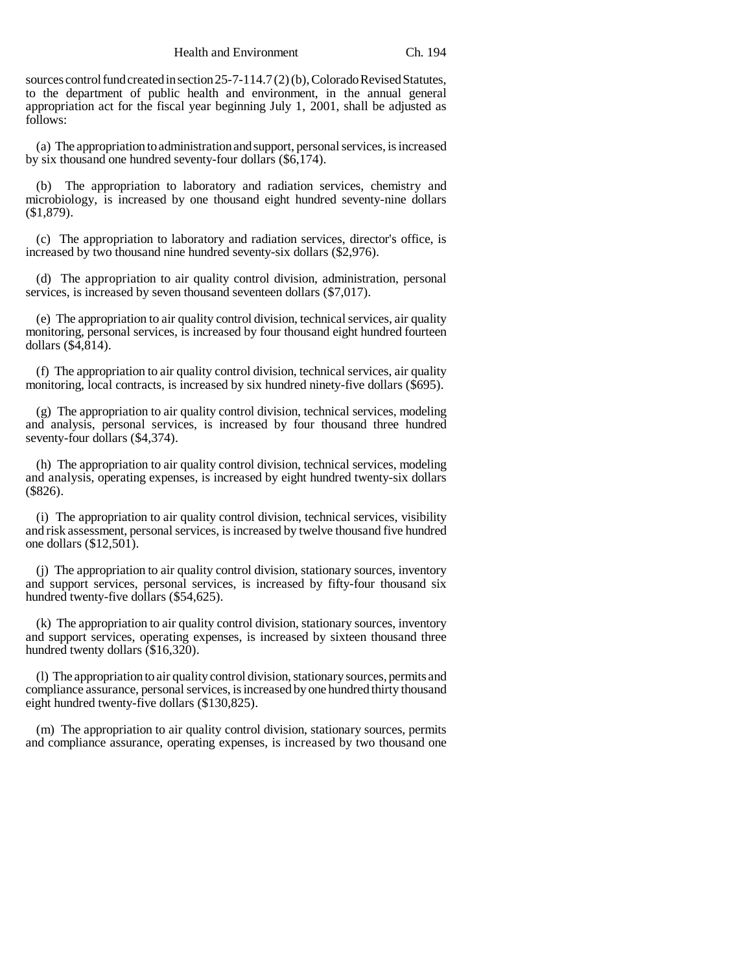sources control fund created in section 25-7-114.7 (2) (b), Colorado Revised Statutes, to the department of public health and environment, in the annual general appropriation act for the fiscal year beginning July 1, 2001, shall be adjusted as follows:

(a) The appropriation to administration and support, personal services, is increased by six thousand one hundred seventy-four dollars (\$6,174).

(b) The appropriation to laboratory and radiation services, chemistry and microbiology, is increased by one thousand eight hundred seventy-nine dollars (\$1,879).

(c) The appropriation to laboratory and radiation services, director's office, is increased by two thousand nine hundred seventy-six dollars (\$2,976).

(d) The appropriation to air quality control division, administration, personal services, is increased by seven thousand seventeen dollars (\$7,017).

(e) The appropriation to air quality control division, technical services, air quality monitoring, personal services, is increased by four thousand eight hundred fourteen dollars (\$4,814).

(f) The appropriation to air quality control division, technical services, air quality monitoring, local contracts, is increased by six hundred ninety-five dollars (\$695).

(g) The appropriation to air quality control division, technical services, modeling and analysis, personal services, is increased by four thousand three hundred seventy-four dollars (\$4,374).

(h) The appropriation to air quality control division, technical services, modeling and analysis, operating expenses, is increased by eight hundred twenty-six dollars (\$826).

(i) The appropriation to air quality control division, technical services, visibility and risk assessment, personal services, is increased by twelve thousand five hundred one dollars (\$12,501).

(j) The appropriation to air quality control division, stationary sources, inventory and support services, personal services, is increased by fifty-four thousand six hundred twenty-five dollars (\$54,625).

(k) The appropriation to air quality control division, stationary sources, inventory and support services, operating expenses, is increased by sixteen thousand three hundred twenty dollars (\$16,320).

(l) The appropriation to air quality control division, stationary sources, permits and compliance assurance, personal services, is increased by one hundred thirty thousand eight hundred twenty-five dollars (\$130,825).

(m) The appropriation to air quality control division, stationary sources, permits and compliance assurance, operating expenses, is increased by two thousand one